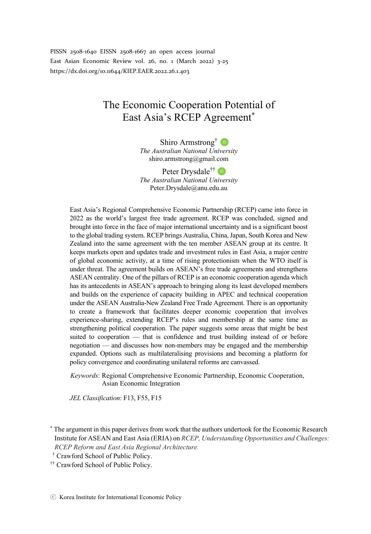PISSN 2508-1640 EISSN 2508-1667 an open access journal East Asian Economic Review vol. 26, no. 1 (March 2022) 3-25 https://dx.doi.org/10.11644/KIEP.EAER.2022.26.1.403

# The Economic Cooperation Potential of East Asia's RCEP Agreement<sup>\*</sup>

Shiro Armstrong<sup>†</sup> *The Australian National University* shiro.armstrong@gmail.com

Peter Drysdale<sup>††</sup> D *The Australian National University* Peter.Drysdale@anu.edu.au

East Asia's Regional Comprehensive Economic Partnership (RCEP) came into force in 2022 as the world's largest free trade agreement. RCEP was concluded, signed and brought into force in the face of major international uncertainty and is a significant boost to the global trading system. RCEP brings Australia, China, Japan, South Korea and New Zealand into the same agreement with the ten member ASEAN group at its centre. It keeps markets open and updates trade and investment rules in East Asia, a major centre of global economic activity, at a time of rising protectionism when the WTO itself is under threat. The agreement builds on ASEAN's free trade agreements and strengthens ASEAN centrality. One of the pillars of RCEP is an economic cooperation agenda which has its antecedents in ASEAN's approach to bringing along its least developed members and builds on the experience of capacity building in APEC and technical cooperation under the ASEAN Australia-New Zealand Free Trade Agreement. There is an opportunity to create a framework that facilitates deeper economic cooperation that involves experience-sharing, extending RCEP's rules and membership at the same time as strengthening political cooperation. The paper suggests some areas that might be best suited to cooperation — that is confidence and trust building instead of or before negotiation — and discusses how non-members may be engaged and the membership expanded. Options such as multilateralising provisions and becoming a platform for policy convergence and coordinating unilateral reforms are canvassed.

*Keywords*: Regional Comprehensive Economic Partnership, Economic Cooperation, Asian Economic Integration

*JEL Classification*: F13, F55, F15

\* The argument in this paper derives from work that the authors undertook for the Economic Research Institute for ASEAN and East Asia (ERIA) on *RCEP, Understanding Opportunities and Challenges: RCEP Reform and East Asia Regional Architecture.* 

<sup>††</sup> Crawford School of Public Policy.

<sup>††</sup> Crawford School of Public Policy.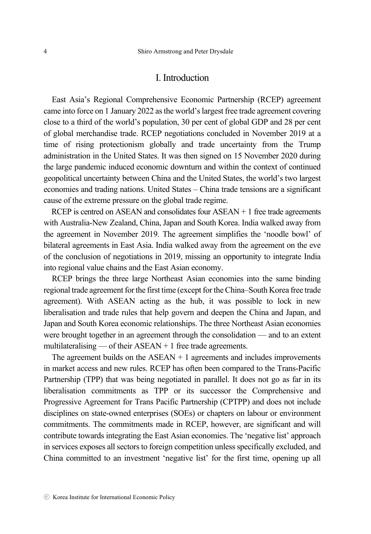### I. Introduction

East Asia's Regional Comprehensive Economic Partnership (RCEP) agreement came into force on 1 January 2022 as the world's largest free trade agreement covering close to a third of the world's population, 30 per cent of global GDP and 28 per cent of global merchandise trade. RCEP negotiations concluded in November 2019 at a time of rising protectionism globally and trade uncertainty from the Trump administration in the United States. It was then signed on 15 November 2020 during the large pandemic induced economic downturn and within the context of continued geopolitical uncertainty between China and the United States, the world's two largest economies and trading nations. United States – China trade tensions are a significant cause of the extreme pressure on the global trade regime.

RCEP is centred on ASEAN and consolidates four  $ASEAN + 1$  free trade agreements with Australia-New Zealand, China, Japan and South Korea. India walked away from the agreement in November 2019. The agreement simplifies the 'noodle bowl' of bilateral agreements in East Asia. India walked away from the agreement on the eve of the conclusion of negotiations in 2019, missing an opportunity to integrate India into regional value chains and the East Asian economy.

RCEP brings the three large Northeast Asian economies into the same binding regional trade agreement for the first time (except for the China–South Korea free trade agreement). With ASEAN acting as the hub, it was possible to lock in new liberalisation and trade rules that help govern and deepen the China and Japan, and Japan and South Korea economic relationships. The three Northeast Asian economies were brought together in an agreement through the consolidation — and to an extent multilateralising — of their  $ASEAN + 1$  free trade agreements.

The agreement builds on the  $ASEAN + 1$  agreements and includes improvements in market access and new rules. RCEP has often been compared to the Trans-Pacific Partnership (TPP) that was being negotiated in parallel. It does not go as far in its liberalisation commitments as TPP or its successor the Comprehensive and Progressive Agreement for Trans Pacific Partnership (CPTPP) and does not include disciplines on state-owned enterprises (SOEs) or chapters on labour or environment commitments. The commitments made in RCEP, however, are significant and will contribute towards integrating the East Asian economies. The 'negative list' approach in services exposes all sectors to foreign competition unless specifically excluded, and China committed to an investment 'negative list' for the first time, opening up all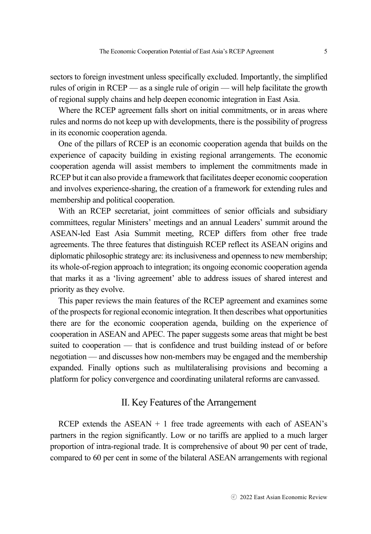sectors to foreign investment unless specifically excluded. Importantly, the simplified rules of origin in RCEP — as a single rule of origin — will help facilitate the growth of regional supply chains and help deepen economic integration in East Asia.

Where the RCEP agreement falls short on initial commitments, or in areas where rules and norms do not keep up with developments, there is the possibility of progress in its economic cooperation agenda.

One of the pillars of RCEP is an economic cooperation agenda that builds on the experience of capacity building in existing regional arrangements. The economic cooperation agenda will assist members to implement the commitments made in RCEP but it can also provide a framework that facilitates deeper economic cooperation and involves experience-sharing, the creation of a framework for extending rules and membership and political cooperation.

With an RCEP secretariat, joint committees of senior officials and subsidiary committees, regular Ministers' meetings and an annual Leaders' summit around the ASEAN-led East Asia Summit meeting, RCEP differs from other free trade agreements. The three features that distinguish RCEP reflect its ASEAN origins and diplomatic philosophic strategy are: its inclusiveness and openness to new membership; its whole-of-region approach to integration; its ongoing economic cooperation agenda that marks it as a 'living agreement' able to address issues of shared interest and priority as they evolve.

This paper reviews the main features of the RCEP agreement and examines some of the prospects for regional economic integration. It then describes what opportunities there are for the economic cooperation agenda, building on the experience of cooperation in ASEAN and APEC. The paper suggests some areas that might be best suited to cooperation — that is confidence and trust building instead of or before negotiation — and discusses how non-members may be engaged and the membership expanded. Finally options such as multilateralising provisions and becoming a platform for policy convergence and coordinating unilateral reforms are canvassed.

# II. Key Features of the Arrangement

RCEP extends the ASEAN  $+1$  free trade agreements with each of ASEAN's partners in the region significantly. Low or no tariffs are applied to a much larger proportion of intra-regional trade. It is comprehensive of about 90 per cent of trade, compared to 60 per cent in some of the bilateral ASEAN arrangements with regional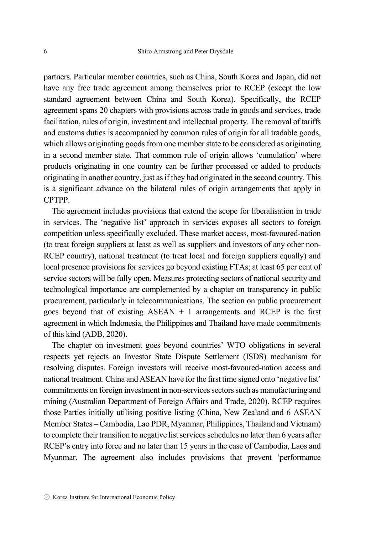partners. Particular member countries, such as China, South Korea and Japan, did not have any free trade agreement among themselves prior to RCEP (except the low standard agreement between China and South Korea). Specifically, the RCEP agreement spans 20 chapters with provisions across trade in goods and services, trade facilitation, rules of origin, investment and intellectual property. The removal of tariffs and customs duties is accompanied by common rules of origin for all tradable goods, which allows originating goods from one member state to be considered as originating in a second member state. That common rule of origin allows 'cumulation' where products originating in one country can be further processed or added to products originating in another country, just as if they had originated in the second country. This is a significant advance on the bilateral rules of origin arrangements that apply in CPTPP.

The agreement includes provisions that extend the scope for liberalisation in trade in services. The 'negative list' approach in services exposes all sectors to foreign competition unless specifically excluded. These market access, most-favoured-nation (to treat foreign suppliers at least as well as suppliers and investors of any other non-RCEP country), national treatment (to treat local and foreign suppliers equally) and local presence provisions for services go beyond existing FTAs; at least 65 per cent of service sectors will be fully open. Measures protecting sectors of national security and technological importance are complemented by a chapter on transparency in public procurement, particularly in telecommunications. The section on public procurement goes beyond that of existing  $ASEAN + 1$  arrangements and RCEP is the first agreement in which Indonesia, the Philippines and Thailand have made commitments of this kind (ADB, 2020).

The chapter on investment goes beyond countries' WTO obligations in several respects yet rejects an Investor State Dispute Settlement (ISDS) mechanism for resolving disputes. Foreign investors will receive most-favoured-nation access and national treatment. China and ASEAN have for the first time signed onto 'negative list' commitments on foreign investment in non-services sectors such as manufacturing and mining (Australian Department of Foreign Affairs and Trade, 2020). RCEP requires those Parties initially utilising positive listing (China, New Zealand and 6 ASEAN Member States – Cambodia, Lao PDR, Myanmar, Philippines, Thailand and Vietnam) to complete their transition to negative list services schedules no later than 6 years after RCEP's entry into force and no later than 15 years in the case of Cambodia, Laos and Myanmar. The agreement also includes provisions that prevent 'performance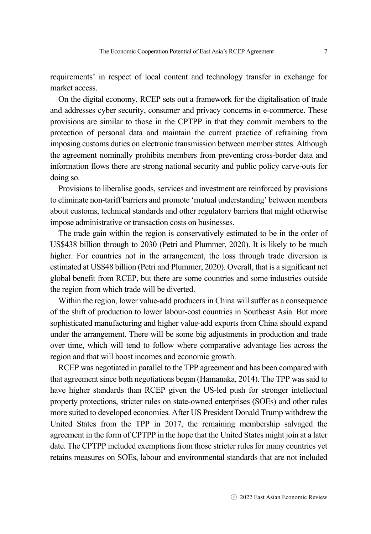requirements' in respect of local content and technology transfer in exchange for market access.

On the digital economy, RCEP sets out a framework for the digitalisation of trade and addresses cyber security, consumer and privacy concerns in e-commerce. These provisions are similar to those in the CPTPP in that they commit members to the protection of personal data and maintain the current practice of refraining from imposing customs duties on electronic transmission between member states. Although the agreement nominally prohibits members from preventing cross-border data and information flows there are strong national security and public policy carve-outs for doing so.

Provisions to liberalise goods, services and investment are reinforced by provisions to eliminate non-tariff barriers and promote 'mutual understanding' between members about customs, technical standards and other regulatory barriers that might otherwise impose administrative or transaction costs on businesses.

The trade gain within the region is conservatively estimated to be in the order of US\$438 billion through to 2030 (Petri and Plummer, 2020). It is likely to be much higher. For countries not in the arrangement, the loss through trade diversion is estimated at US\$48 billion (Petri and Plummer, 2020). Overall, that is a significant net global benefit from RCEP, but there are some countries and some industries outside the region from which trade will be diverted.

Within the region, lower value-add producers in China will suffer as a consequence of the shift of production to lower labour-cost countries in Southeast Asia. But more sophisticated manufacturing and higher value-add exports from China should expand under the arrangement. There will be some big adjustments in production and trade over time, which will tend to follow where comparative advantage lies across the region and that will boost incomes and economic growth.

RCEP was negotiated in parallel to the TPP agreement and has been compared with that agreement since both negotiations began (Hamanaka, 2014). The TPP was said to have higher standards than RCEP given the US-led push for stronger intellectual property protections, stricter rules on state-owned enterprises (SOEs) and other rules more suited to developed economies. After US President Donald Trump withdrew the United States from the TPP in 2017, the remaining membership salvaged the agreement in the form of CPTPP in the hope that the United States might join at a later date. The CPTPP included exemptions from those stricter rules for many countries yet retains measures on SOEs, labour and environmental standards that are not included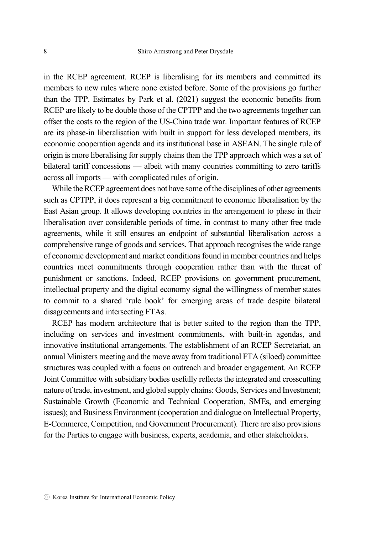in the RCEP agreement. RCEP is liberalising for its members and committed its members to new rules where none existed before. Some of the provisions go further than the TPP. Estimates by Park et al. (2021) suggest the economic benefits from RCEP are likely to be double those of the CPTPP and the two agreements together can offset the costs to the region of the US-China trade war. Important features of RCEP are its phase-in liberalisation with built in support for less developed members, its economic cooperation agenda and its institutional base in ASEAN. The single rule of origin is more liberalising for supply chains than the TPP approach which was a set of bilateral tariff concessions — albeit with many countries committing to zero tariffs across all imports — with complicated rules of origin.

While the RCEP agreement does not have some of the disciplines of other agreements such as CPTPP, it does represent a big commitment to economic liberalisation by the East Asian group. It allows developing countries in the arrangement to phase in their liberalisation over considerable periods of time, in contrast to many other free trade agreements, while it still ensures an endpoint of substantial liberalisation across a comprehensive range of goods and services. That approach recognises the wide range of economic development and market conditions found in member countries and helps countries meet commitments through cooperation rather than with the threat of punishment or sanctions. Indeed, RCEP provisions on government procurement, intellectual property and the digital economy signal the willingness of member states to commit to a shared 'rule book' for emerging areas of trade despite bilateral disagreements and intersecting FTAs.

RCEP has modern architecture that is better suited to the region than the TPP, including on services and investment commitments, with built-in agendas, and innovative institutional arrangements. The establishment of an RCEP Secretariat, an annual Ministers meeting and the move away from traditional FTA (siloed) committee structures was coupled with a focus on outreach and broader engagement. An RCEP Joint Committee with subsidiary bodies usefully reflects the integrated and crosscutting nature of trade, investment, and global supply chains: Goods, Services and Investment; Sustainable Growth (Economic and Technical Cooperation, SMEs, and emerging issues); and Business Environment (cooperation and dialogue on Intellectual Property, E-Commerce, Competition, and Government Procurement). There are also provisions for the Parties to engage with business, experts, academia, and other stakeholders.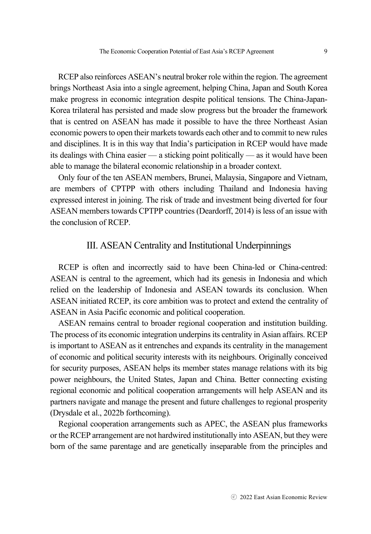RCEP also reinforces ASEAN's neutral broker role within the region. The agreement brings Northeast Asia into a single agreement, helping China, Japan and South Korea make progress in economic integration despite political tensions. The China-Japan-Korea trilateral has persisted and made slow progress but the broader the framework that is centred on ASEAN has made it possible to have the three Northeast Asian economic powers to open their markets towards each other and to commit to new rules and disciplines. It is in this way that India's participation in RCEP would have made its dealings with China easier — a sticking point politically — as it would have been able to manage the bilateral economic relationship in a broader context.

Only four of the ten ASEAN members, Brunei, Malaysia, Singapore and Vietnam, are members of CPTPP with others including Thailand and Indonesia having expressed interest in joining. The risk of trade and investment being diverted for four ASEAN members towards CPTPP countries (Deardorff, 2014) is less of an issue with the conclusion of RCEP.

### III. ASEAN Centrality and Institutional Underpinnings

RCEP is often and incorrectly said to have been China-led or China-centred: ASEAN is central to the agreement, which had its genesis in Indonesia and which relied on the leadership of Indonesia and ASEAN towards its conclusion. When ASEAN initiated RCEP, its core ambition was to protect and extend the centrality of ASEAN in Asia Pacific economic and political cooperation.

ASEAN remains central to broader regional cooperation and institution building. The process of its economic integration underpins its centrality in Asian affairs. RCEP is important to ASEAN as it entrenches and expands its centrality in the management of economic and political security interests with its neighbours. Originally conceived for security purposes, ASEAN helps its member states manage relations with its big power neighbours, the United States, Japan and China. Better connecting existing regional economic and political cooperation arrangements will help ASEAN and its partners navigate and manage the present and future challenges to regional prosperity (Drysdale et al., 2022b forthcoming).

Regional cooperation arrangements such as APEC, the ASEAN plus frameworks or the RCEP arrangement are not hardwired institutionally into ASEAN, but they were born of the same parentage and are genetically inseparable from the principles and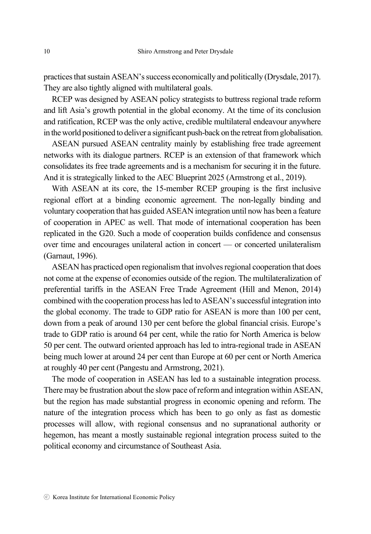practices that sustain ASEAN's success economically and politically (Drysdale, 2017). They are also tightly aligned with multilateral goals.

RCEP was designed by ASEAN policy strategists to buttress regional trade reform and lift Asia's growth potential in the global economy. At the time of its conclusion and ratification, RCEP was the only active, credible multilateral endeavour anywhere in the world positioned to deliver a significant push-back on the retreat from globalisation.

ASEAN pursued ASEAN centrality mainly by establishing free trade agreement networks with its dialogue partners. RCEP is an extension of that framework which consolidates its free trade agreements and is a mechanism for securing it in the future. And it is strategically linked to the AEC Blueprint 2025 (Armstrong et al., 2019).

With ASEAN at its core, the 15-member RCEP grouping is the first inclusive regional effort at a binding economic agreement. The non-legally binding and voluntary cooperation that has guided ASEAN integration until now has been a feature of cooperation in APEC as well. That mode of international cooperation has been replicated in the G20. Such a mode of cooperation builds confidence and consensus over time and encourages unilateral action in concert — or concerted unilateralism (Garnaut, 1996).

ASEAN has practiced open regionalism that involves regional cooperation that does not come at the expense of economies outside of the region. The multilateralization of preferential tariffs in the ASEAN Free Trade Agreement (Hill and Menon, 2014) combined with the cooperation process has led to ASEAN's successful integration into the global economy. The trade to GDP ratio for ASEAN is more than 100 per cent, down from a peak of around 130 per cent before the global financial crisis. Europe's trade to GDP ratio is around 64 per cent, while the ratio for North America is below 50 per cent. The outward oriented approach has led to intra-regional trade in ASEAN being much lower at around 24 per cent than Europe at 60 per cent or North America at roughly 40 per cent (Pangestu and Armstrong, 2021).

The mode of cooperation in ASEAN has led to a sustainable integration process. There may be frustration about the slow pace of reform and integration within ASEAN, but the region has made substantial progress in economic opening and reform. The nature of the integration process which has been to go only as fast as domestic processes will allow, with regional consensus and no supranational authority or hegemon, has meant a mostly sustainable regional integration process suited to the political economy and circumstance of Southeast Asia.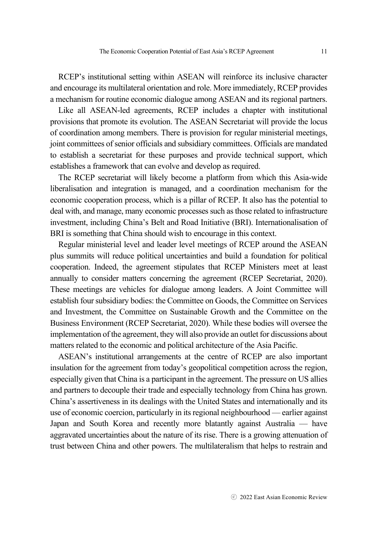RCEP's institutional setting within ASEAN will reinforce its inclusive character and encourage its multilateral orientation and role. More immediately, RCEP provides a mechanism for routine economic dialogue among ASEAN and its regional partners.

Like all ASEAN-led agreements, RCEP includes a chapter with institutional provisions that promote its evolution. The ASEAN Secretariat will provide the locus of coordination among members. There is provision for regular ministerial meetings, joint committees of senior officials and subsidiary committees. Officials are mandated to establish a secretariat for these purposes and provide technical support, which establishes a framework that can evolve and develop as required.

The RCEP secretariat will likely become a platform from which this Asia-wide liberalisation and integration is managed, and a coordination mechanism for the economic cooperation process, which is a pillar of RCEP. It also has the potential to deal with, and manage, many economic processes such as those related to infrastructure investment, including China's Belt and Road Initiative (BRI). Internationalisation of BRI is something that China should wish to encourage in this context.

Regular ministerial level and leader level meetings of RCEP around the ASEAN plus summits will reduce political uncertainties and build a foundation for political cooperation. Indeed, the agreement stipulates that RCEP Ministers meet at least annually to consider matters concerning the agreement (RCEP Secretariat, 2020). These meetings are vehicles for dialogue among leaders. A Joint Committee will establish four subsidiary bodies: the Committee on Goods, the Committee on Services and Investment, the Committee on Sustainable Growth and the Committee on the Business Environment (RCEP Secretariat, 2020). While these bodies will oversee the implementation of the agreement, they will also provide an outlet for discussions about matters related to the economic and political architecture of the Asia Pacific.

ASEAN's institutional arrangements at the centre of RCEP are also important insulation for the agreement from today's geopolitical competition across the region, especially given that China is a participant in the agreement. The pressure on US allies and partners to decouple their trade and especially technology from China has grown. China's assertiveness in its dealings with the United States and internationally and its use of economic coercion, particularly in its regional neighbourhood — earlier against Japan and South Korea and recently more blatantly against Australia — have aggravated uncertainties about the nature of its rise. There is a growing attenuation of trust between China and other powers. The multilateralism that helps to restrain and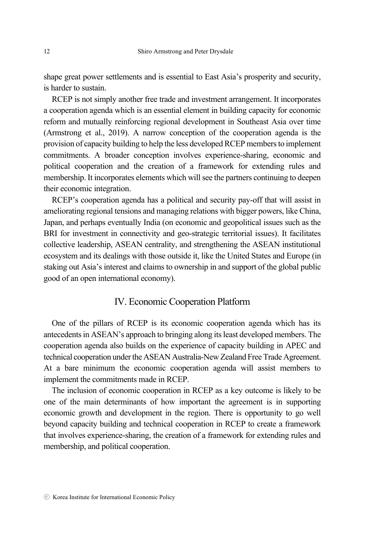shape great power settlements and is essential to East Asia's prosperity and security, is harder to sustain.

RCEP is not simply another free trade and investment arrangement. It incorporates a cooperation agenda which is an essential element in building capacity for economic reform and mutually reinforcing regional development in Southeast Asia over time (Armstrong et al., 2019). A narrow conception of the cooperation agenda is the provision of capacity building to help the less developed RCEP members to implement commitments. A broader conception involves experience-sharing, economic and political cooperation and the creation of a framework for extending rules and membership. It incorporates elements which will see the partners continuing to deepen their economic integration.

RCEP's cooperation agenda has a political and security pay-off that will assist in ameliorating regional tensions and managing relations with bigger powers, like China, Japan, and perhaps eventually India (on economic and geopolitical issues such as the BRI for investment in connectivity and geo-strategic territorial issues). It facilitates collective leadership, ASEAN centrality, and strengthening the ASEAN institutional ecosystem and its dealings with those outside it, like the United States and Europe (in staking out Asia's interest and claims to ownership in and support of the global public good of an open international economy).

# IV. Economic Cooperation Platform

One of the pillars of RCEP is its economic cooperation agenda which has its antecedents in ASEAN's approach to bringing along its least developed members. The cooperation agenda also builds on the experience of capacity building in APEC and technical cooperation under the ASEAN Australia-New Zealand Free Trade Agreement. At a bare minimum the economic cooperation agenda will assist members to implement the commitments made in RCEP.

The inclusion of economic cooperation in RCEP as a key outcome is likely to be one of the main determinants of how important the agreement is in supporting economic growth and development in the region. There is opportunity to go well beyond capacity building and technical cooperation in RCEP to create a framework that involves experience-sharing, the creation of a framework for extending rules and membership, and political cooperation.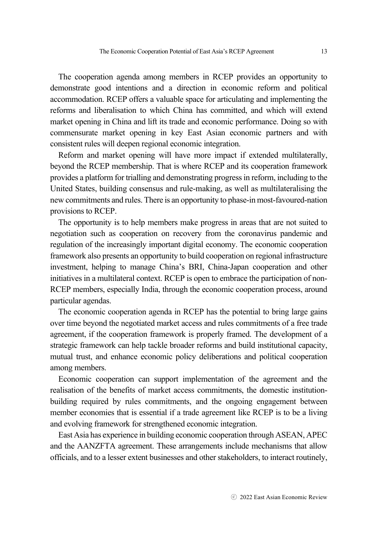The cooperation agenda among members in RCEP provides an opportunity to demonstrate good intentions and a direction in economic reform and political accommodation. RCEP offers a valuable space for articulating and implementing the reforms and liberalisation to which China has committed, and which will extend market opening in China and lift its trade and economic performance. Doing so with commensurate market opening in key East Asian economic partners and with consistent rules will deepen regional economic integration.

Reform and market opening will have more impact if extended multilaterally, beyond the RCEP membership. That is where RCEP and its cooperation framework provides a platform for trialling and demonstrating progress in reform, including to the United States, building consensus and rule-making, as well as multilateralising the new commitments and rules. There is an opportunity to phase-in most-favoured-nation provisions to RCEP.

The opportunity is to help members make progress in areas that are not suited to negotiation such as cooperation on recovery from the coronavirus pandemic and regulation of the increasingly important digital economy. The economic cooperation framework also presents an opportunity to build cooperation on regional infrastructure investment, helping to manage China's BRI, China-Japan cooperation and other initiatives in a multilateral context. RCEP is open to embrace the participation of non-RCEP members, especially India, through the economic cooperation process, around particular agendas.

The economic cooperation agenda in RCEP has the potential to bring large gains over time beyond the negotiated market access and rules commitments of a free trade agreement, if the cooperation framework is properly framed. The development of a strategic framework can help tackle broader reforms and build institutional capacity, mutual trust, and enhance economic policy deliberations and political cooperation among members.

Economic cooperation can support implementation of the agreement and the realisation of the benefits of market access commitments, the domestic institutionbuilding required by rules commitments, and the ongoing engagement between member economies that is essential if a trade agreement like RCEP is to be a living and evolving framework for strengthened economic integration.

East Asia has experience in building economic cooperation through ASEAN, APEC and the AANZFTA agreement. These arrangements include mechanisms that allow officials, and to a lesser extent businesses and other stakeholders, to interact routinely,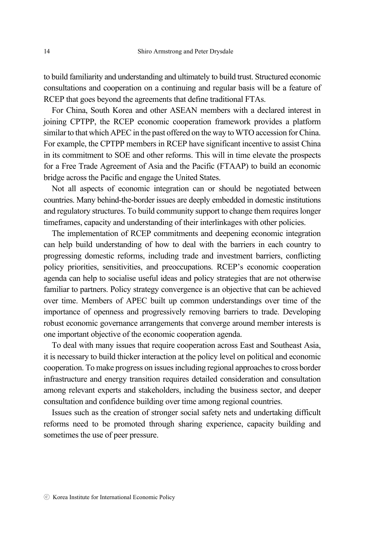to build familiarity and understanding and ultimately to build trust. Structured economic consultations and cooperation on a continuing and regular basis will be a feature of RCEP that goes beyond the agreements that define traditional FTAs.

For China, South Korea and other ASEAN members with a declared interest in joining CPTPP, the RCEP economic cooperation framework provides a platform similar to that which APEC in the past offered on the way to WTO accession for China. For example, the CPTPP members in RCEP have significant incentive to assist China in its commitment to SOE and other reforms. This will in time elevate the prospects for a Free Trade Agreement of Asia and the Pacific (FTAAP) to build an economic bridge across the Pacific and engage the United States.

Not all aspects of economic integration can or should be negotiated between countries. Many behind-the-border issues are deeply embedded in domestic institutions and regulatory structures. To build community support to change them requires longer timeframes, capacity and understanding of their interlinkages with other policies.

The implementation of RCEP commitments and deepening economic integration can help build understanding of how to deal with the barriers in each country to progressing domestic reforms, including trade and investment barriers, conflicting policy priorities, sensitivities, and preoccupations. RCEP's economic cooperation agenda can help to socialise useful ideas and policy strategies that are not otherwise familiar to partners. Policy strategy convergence is an objective that can be achieved over time. Members of APEC built up common understandings over time of the importance of openness and progressively removing barriers to trade. Developing robust economic governance arrangements that converge around member interests is one important objective of the economic cooperation agenda.

To deal with many issues that require cooperation across East and Southeast Asia, it is necessary to build thicker interaction at the policy level on political and economic cooperation. To make progress on issues including regional approaches to cross border infrastructure and energy transition requires detailed consideration and consultation among relevant experts and stakeholders, including the business sector, and deeper consultation and confidence building over time among regional countries.

Issues such as the creation of stronger social safety nets and undertaking difficult reforms need to be promoted through sharing experience, capacity building and sometimes the use of peer pressure.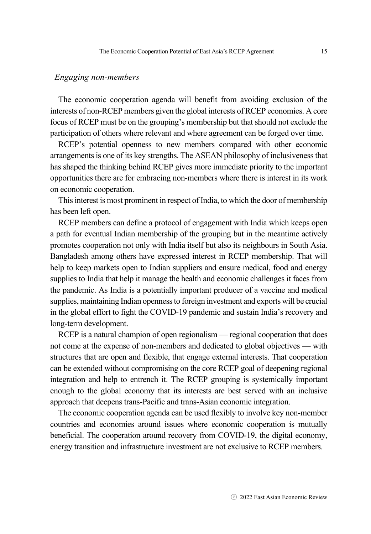#### *Engaging non-members*

The economic cooperation agenda will benefit from avoiding exclusion of the interests of non-RCEP members given the global interests of RCEP economies. A core focus of RCEP must be on the grouping's membership but that should not exclude the participation of others where relevant and where agreement can be forged over time.

RCEP's potential openness to new members compared with other economic arrangements is one of its key strengths. The ASEAN philosophy of inclusiveness that has shaped the thinking behind RCEP gives more immediate priority to the important opportunities there are for embracing non-members where there is interest in its work on economic cooperation.

This interest is most prominent in respect of India, to which the door of membership has been left open.

RCEP members can define a protocol of engagement with India which keeps open a path for eventual Indian membership of the grouping but in the meantime actively promotes cooperation not only with India itself but also its neighbours in South Asia. Bangladesh among others have expressed interest in RCEP membership. That will help to keep markets open to Indian suppliers and ensure medical, food and energy supplies to India that help it manage the health and economic challenges it faces from the pandemic. As India is a potentially important producer of a vaccine and medical supplies, maintaining Indian openness to foreign investment and exports will be crucial in the global effort to fight the COVID-19 pandemic and sustain India's recovery and long-term development.

RCEP is a natural champion of open regionalism — regional cooperation that does not come at the expense of non-members and dedicated to global objectives — with structures that are open and flexible, that engage external interests. That cooperation can be extended without compromising on the core RCEP goal of deepening regional integration and help to entrench it. The RCEP grouping is systemically important enough to the global economy that its interests are best served with an inclusive approach that deepens trans-Pacific and trans-Asian economic integration.

The economic cooperation agenda can be used flexibly to involve key non-member countries and economies around issues where economic cooperation is mutually beneficial. The cooperation around recovery from COVID-19, the digital economy, energy transition and infrastructure investment are not exclusive to RCEP members.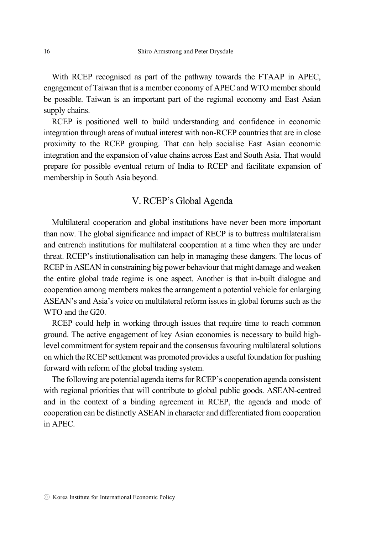With RCEP recognised as part of the pathway towards the FTAAP in APEC, engagement of Taiwan that is a member economy of APEC and WTO member should be possible. Taiwan is an important part of the regional economy and East Asian supply chains.

RCEP is positioned well to build understanding and confidence in economic integration through areas of mutual interest with non-RCEP countries that are in close proximity to the RCEP grouping. That can help socialise East Asian economic integration and the expansion of value chains across East and South Asia. That would prepare for possible eventual return of India to RCEP and facilitate expansion of membership in South Asia beyond.

# V. RCEP's Global Agenda

Multilateral cooperation and global institutions have never been more important than now. The global significance and impact of RECP is to buttress multilateralism and entrench institutions for multilateral cooperation at a time when they are under threat. RCEP's institutionalisation can help in managing these dangers. The locus of RCEP in ASEAN in constraining big power behaviour that might damage and weaken the entire global trade regime is one aspect. Another is that in-built dialogue and cooperation among members makes the arrangement a potential vehicle for enlarging ASEAN's and Asia's voice on multilateral reform issues in global forums such as the WTO and the G20.

RCEP could help in working through issues that require time to reach common ground. The active engagement of key Asian economies is necessary to build highlevel commitment for system repair and the consensus favouring multilateral solutions on which the RCEP settlement was promoted provides a useful foundation for pushing forward with reform of the global trading system.

The following are potential agenda items for RCEP's cooperation agenda consistent with regional priorities that will contribute to global public goods. ASEAN-centred and in the context of a binding agreement in RCEP, the agenda and mode of cooperation can be distinctly ASEAN in character and differentiated from cooperation in APEC.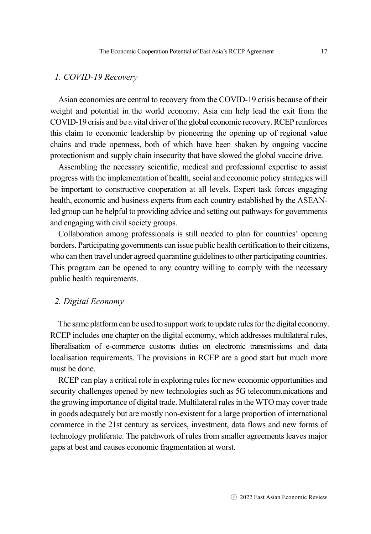#### *1. COVID-19 Recovery*

Asian economies are central to recovery from the COVID-19 crisis because of their weight and potential in the world economy. Asia can help lead the exit from the COVID-19 crisis and be a vital driver of the global economic recovery. RCEP reinforces this claim to economic leadership by pioneering the opening up of regional value chains and trade openness, both of which have been shaken by ongoing vaccine protectionism and supply chain insecurity that have slowed the global vaccine drive.

Assembling the necessary scientific, medical and professional expertise to assist progress with the implementation of health, social and economic policy strategies will be important to constructive cooperation at all levels. Expert task forces engaging health, economic and business experts from each country established by the ASEANled group can be helpful to providing advice and setting out pathways for governments and engaging with civil society groups.

Collaboration among professionals is still needed to plan for countries' opening borders. Participating governments can issue public health certification to their citizens, who can then travel under agreed quarantine guidelines to other participating countries. This program can be opened to any country willing to comply with the necessary public health requirements.

#### *2. Digital Economy*

The same platform can be used to support work to update rules for the digital economy. RCEP includes one chapter on the digital economy, which addresses multilateral rules, liberalisation of e-commerce customs duties on electronic transmissions and data localisation requirements. The provisions in RCEP are a good start but much more must be done.

RCEP can play a critical role in exploring rules for new economic opportunities and security challenges opened by new technologies such as 5G telecommunications and the growing importance of digital trade. Multilateral rules in the WTO may cover trade in goods adequately but are mostly non-existent for a large proportion of international commerce in the 21st century as services, investment, data flows and new forms of technology proliferate. The patchwork of rules from smaller agreements leaves major gaps at best and causes economic fragmentation at worst.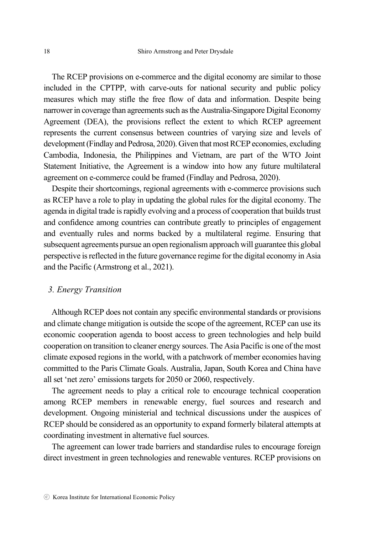The RCEP provisions on e-commerce and the digital economy are similar to those included in the CPTPP, with carve-outs for national security and public policy measures which may stifle the free flow of data and information. Despite being narrower in coverage than agreements such as the Australia-Singapore Digital Economy Agreement (DEA), the provisions reflect the extent to which RCEP agreement represents the current consensus between countries of varying size and levels of development (Findlay and Pedrosa, 2020). Given that most RCEP economies, excluding Cambodia, Indonesia, the Philippines and Vietnam, are part of the WTO Joint Statement Initiative, the Agreement is a window into how any future multilateral agreement on e-commerce could be framed (Findlay and Pedrosa, 2020).

Despite their shortcomings, regional agreements with e-commerce provisions such as RCEP have a role to play in updating the global rules for the digital economy. The agenda in digital trade is rapidly evolving and a process of cooperation that builds trust and confidence among countries can contribute greatly to principles of engagement and eventually rules and norms backed by a multilateral regime. Ensuring that subsequent agreements pursue an open regionalism approach will guarantee this global perspective is reflected in the future governance regime for the digital economy in Asia and the Pacific (Armstrong et al., 2021).

#### *3. Energy Transition*

Although RCEP does not contain any specific environmental standards or provisions and climate change mitigation is outside the scope of the agreement, RCEP can use its economic cooperation agenda to boost access to green technologies and help build cooperation on transition to cleaner energy sources. The Asia Pacific is one of the most climate exposed regions in the world, with a patchwork of member economies having committed to the Paris Climate Goals. Australia, Japan, South Korea and China have all set 'net zero' emissions targets for 2050 or 2060, respectively.

The agreement needs to play a critical role to encourage technical cooperation among RCEP members in renewable energy, fuel sources and research and development. Ongoing ministerial and technical discussions under the auspices of RCEP should be considered as an opportunity to expand formerly bilateral attempts at coordinating investment in alternative fuel sources.

The agreement can lower trade barriers and standardise rules to encourage foreign direct investment in green technologies and renewable ventures. RCEP provisions on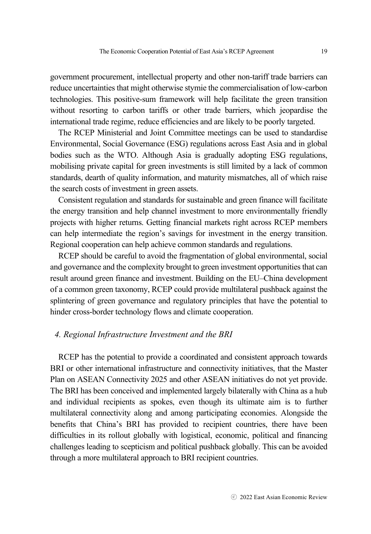government procurement, intellectual property and other non-tariff trade barriers can reduce uncertainties that might otherwise stymie the commercialisation of low-carbon technologies. This positive-sum framework will help facilitate the green transition without resorting to carbon tariffs or other trade barriers, which jeopardise the international trade regime, reduce efficiencies and are likely to be poorly targeted.

The RCEP Ministerial and Joint Committee meetings can be used to standardise Environmental, Social Governance (ESG) regulations across East Asia and in global bodies such as the WTO. Although Asia is gradually adopting ESG regulations, mobilising private capital for green investments is still limited by a lack of common standards, dearth of quality information, and maturity mismatches, all of which raise the search costs of investment in green assets.

Consistent regulation and standards for sustainable and green finance will facilitate the energy transition and help channel investment to more environmentally friendly projects with higher returns. Getting financial markets right across RCEP members can help intermediate the region's savings for investment in the energy transition. Regional cooperation can help achieve common standards and regulations.

RCEP should be careful to avoid the fragmentation of global environmental, social and governance and the complexity brought to green investment opportunities that can result around green finance and investment. Building on the EU–China development of a common green taxonomy, RCEP could provide multilateral pushback against the splintering of green governance and regulatory principles that have the potential to hinder cross-border technology flows and climate cooperation.

#### *4. Regional Infrastructure Investment and the BRI*

RCEP has the potential to provide a coordinated and consistent approach towards BRI or other international infrastructure and connectivity initiatives, that the Master Plan on ASEAN Connectivity 2025 and other ASEAN initiatives do not yet provide. The BRI has been conceived and implemented largely bilaterally with China as a hub and individual recipients as spokes, even though its ultimate aim is to further multilateral connectivity along and among participating economies. Alongside the benefits that China's BRI has provided to recipient countries, there have been difficulties in its rollout globally with logistical, economic, political and financing challenges leading to scepticism and political pushback globally. This can be avoided through a more multilateral approach to BRI recipient countries.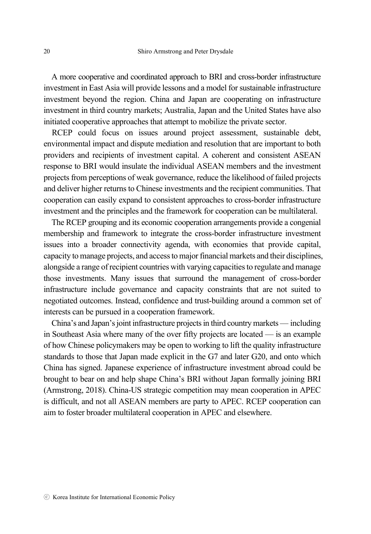A more cooperative and coordinated approach to BRI and cross-border infrastructure investment in East Asia will provide lessons and a model for sustainable infrastructure investment beyond the region. China and Japan are cooperating on infrastructure investment in third country markets; Australia, Japan and the United States have also initiated cooperative approaches that attempt to mobilize the private sector.

RCEP could focus on issues around project assessment, sustainable debt, environmental impact and dispute mediation and resolution that are important to both providers and recipients of investment capital. A coherent and consistent ASEAN response to BRI would insulate the individual ASEAN members and the investment projects from perceptions of weak governance, reduce the likelihood of failed projects and deliver higher returns to Chinese investments and the recipient communities. That cooperation can easily expand to consistent approaches to cross-border infrastructure investment and the principles and the framework for cooperation can be multilateral.

The RCEP grouping and its economic cooperation arrangements provide a congenial membership and framework to integrate the cross-border infrastructure investment issues into a broader connectivity agenda, with economies that provide capital, capacity to manage projects, and access to major financial markets and their disciplines, alongside a range of recipient countries with varying capacities to regulate and manage those investments. Many issues that surround the management of cross-border infrastructure include governance and capacity constraints that are not suited to negotiated outcomes. Instead, confidence and trust-building around a common set of interests can be pursued in a cooperation framework.

China's and Japan's joint infrastructure projects in third country markets — including in Southeast Asia where many of the over fifty projects are located — is an example of how Chinese policymakers may be open to working to lift the quality infrastructure standards to those that Japan made explicit in the G7 and later G20, and onto which China has signed. Japanese experience of infrastructure investment abroad could be brought to bear on and help shape China's BRI without Japan formally joining BRI (Armstrong, 2018). China-US strategic competition may mean cooperation in APEC is difficult, and not all ASEAN members are party to APEC. RCEP cooperation can aim to foster broader multilateral cooperation in APEC and elsewhere.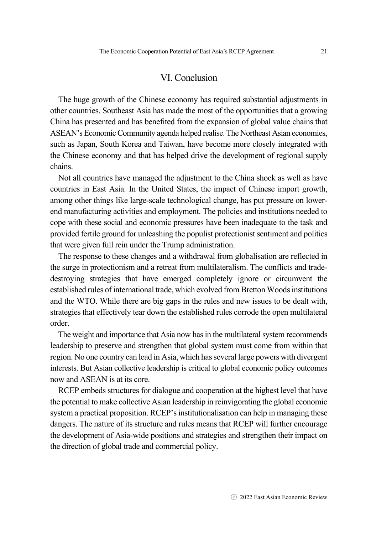### VI. Conclusion

The huge growth of the Chinese economy has required substantial adjustments in other countries. Southeast Asia has made the most of the opportunities that a growing China has presented and has benefited from the expansion of global value chains that ASEAN's Economic Community agenda helped realise. The Northeast Asian economies, such as Japan, South Korea and Taiwan, have become more closely integrated with the Chinese economy and that has helped drive the development of regional supply chains.

Not all countries have managed the adjustment to the China shock as well as have countries in East Asia. In the United States, the impact of Chinese import growth, among other things like large-scale technological change, has put pressure on lowerend manufacturing activities and employment. The policies and institutions needed to cope with these social and economic pressures have been inadequate to the task and provided fertile ground for unleashing the populist protectionist sentiment and politics that were given full rein under the Trump administration.

The response to these changes and a withdrawal from globalisation are reflected in the surge in protectionism and a retreat from multilateralism. The conflicts and tradedestroying strategies that have emerged completely ignore or circumvent the established rules of international trade, which evolved from Bretton Woods institutions and the WTO. While there are big gaps in the rules and new issues to be dealt with, strategies that effectively tear down the established rules corrode the open multilateral order.

The weight and importance that Asia now has in the multilateral system recommends leadership to preserve and strengthen that global system must come from within that region. No one country can lead in Asia, which has several large powers with divergent interests. But Asian collective leadership is critical to global economic policy outcomes now and ASEAN is at its core.

RCEP embeds structures for dialogue and cooperation at the highest level that have the potential to make collective Asian leadership in reinvigorating the global economic system a practical proposition. RCEP's institutionalisation can help in managing these dangers. The nature of its structure and rules means that RCEP will further encourage the development of Asia-wide positions and strategies and strengthen their impact on the direction of global trade and commercial policy.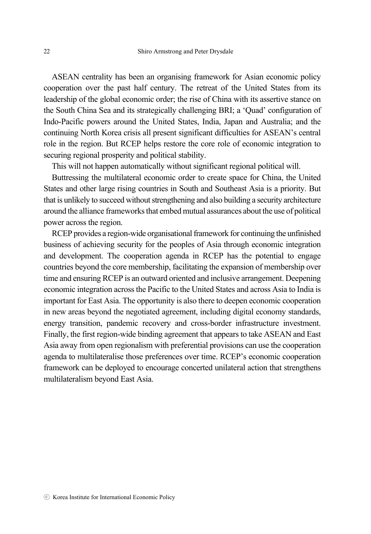ASEAN centrality has been an organising framework for Asian economic policy cooperation over the past half century. The retreat of the United States from its leadership of the global economic order; the rise of China with its assertive stance on the South China Sea and its strategically challenging BRI; a 'Quad' configuration of Indo-Pacific powers around the United States, India, Japan and Australia; and the continuing North Korea crisis all present significant difficulties for ASEAN's central role in the region. But RCEP helps restore the core role of economic integration to securing regional prosperity and political stability.

This will not happen automatically without significant regional political will.

Buttressing the multilateral economic order to create space for China, the United States and other large rising countries in South and Southeast Asia is a priority. But that is unlikely to succeed without strengthening and also building a security architecture around the alliance frameworks that embed mutual assurances about the use of political power across the region.

RCEP provides a region-wide organisational framework for continuing the unfinished business of achieving security for the peoples of Asia through economic integration and development. The cooperation agenda in RCEP has the potential to engage countries beyond the core membership, facilitating the expansion of membership over time and ensuring RCEP is an outward oriented and inclusive arrangement. Deepening economic integration across the Pacific to the United States and across Asia to India is important for East Asia. The opportunity is also there to deepen economic cooperation in new areas beyond the negotiated agreement, including digital economy standards, energy transition, pandemic recovery and cross-border infrastructure investment. Finally, the first region-wide binding agreement that appears to take ASEAN and East Asia away from open regionalism with preferential provisions can use the cooperation agenda to multilateralise those preferences over time. RCEP's economic cooperation framework can be deployed to encourage concerted unilateral action that strengthens multilateralism beyond East Asia.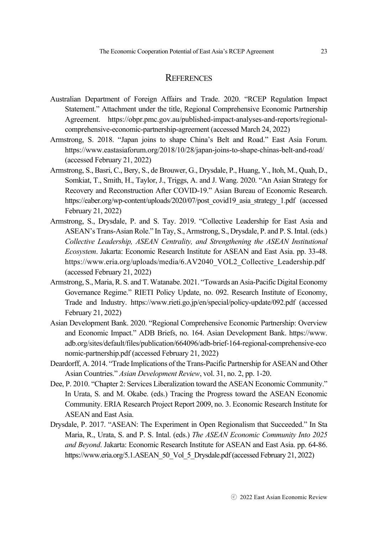#### **REFERENCES**

- Australian Department of Foreign Affairs and Trade. 2020. "RCEP Regulation Impact Statement." Attachment under the title, Regional Comprehensive Economic Partnership Agreement. https://obpr.pmc.gov.au/published-impact-analyses-and-reports/regionalcomprehensive-economic-partnership-agreement (accessed March 24, 2022)
- Armstrong, S. 2018. "Japan joins to shape China's Belt and Road." East Asia Forum. https://www.eastasiaforum.org/2018/10/28/japan-joins-to-shape-chinas-belt-and-road/ (accessed February 21, 2022)
- Armstrong, S., Basri, C., Bery, S., de Brouwer, G., Drysdale, P., Huang, Y., Itoh, M., Quah, D., Somkiat, T., Smith, H., Taylor, J., Triggs, A. and J. Wang. 2020. "An Asian Strategy for Recovery and Reconstruction After COVID-19." Asian Bureau of Economic Research. https://eaber.org/wp-content/uploads/2020/07/post\_covid19\_asia\_strategy\_1.pdf (accessed February 21, 2022)
- Armstrong, S., Drysdale, P. and S. Tay. 2019. "Collective Leadership for East Asia and ASEAN's Trans-Asian Role." In Tay, S., Armstrong, S., Drysdale, P. and P. S. Intal. (eds.) *Collective Leadership, ASEAN Centrality, and Strengthening the ASEAN Institutional Ecosystem*. Jakarta: Economic Research Institute for ASEAN and East Asia. pp. 33-48. https://www.eria.org/uploads/media/6.AV2040\_VOL2\_Collective\_Leadership.pdf (accessed February 21, 2022)
- Armstrong, S., Maria, R. S. and T. Watanabe. 2021. "Towards an Asia-Pacific Digital Economy Governance Regime." RIETI Policy Update, no. 092. Research Institute of Economy, Trade and Industry. https://www.rieti.go.jp/en/special/policy-update/092.pdf (accessed February 21, 2022)
- Asian Development Bank. 2020. "Regional Comprehensive Economic Partnership: Overview and Economic Impact." ADB Briefs, no. 164. Asian Development Bank. https://www. adb.org/sites/default/files/publication/664096/adb-brief-164-regional-comprehensive-eco nomic-partnership.pdf (accessed February 21, 2022)
- Deardorff, A. 2014. "Trade Implications of the Trans-Pacific Partnership for ASEAN and Other Asian Countries." *Asian Development Review*, vol. 31, no. 2, pp. 1-20.
- Dee, P. 2010. "Chapter 2: Services Liberalization toward the ASEAN Economic Community." In Urata, S. and M. Okabe. (eds.) Tracing the Progress toward the ASEAN Economic Community. ERIA Research Project Report 2009, no. 3. Economic Research Institute for ASEAN and East Asia.
- Drysdale, P. 2017. "ASEAN: The Experiment in Open Regionalism that Succeeded." In Sta Maria, R., Urata, S. and P. S. Intal. (eds.) *The ASEAN Economic Community Into 2025 and Beyond*. Jakarta: Economic Research Institute for ASEAN and East Asia. pp. 64-86. https://www.eria.org/5.1.ASEAN 50 Vol 5 Drysdale.pdf (accessed February 21, 2022)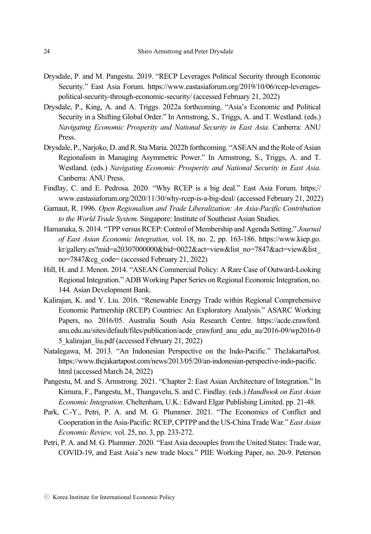- Drysdale, P. and M. Pangestu. 2019. "RECP Leverages Political Security through Economic Security." East Asia Forum. https://www.eastasiaforum.org/2019/10/06/rcep-leveragespolitical-security-through-economic-security/ (accessed February 21, 2022)
- Drysdale, P., King, A. and A. Triggs. 2022a forthcoming. "Asia's Economic and Political Security in a Shifting Global Order." In Armstrong, S., Triggs, A. and T. Westland. (eds.) *Navigating Economic Prosperity and National Security in East Asia*. Canberra: ANU Press.
- Drysdale, P., Narjoko, D. and R. Sta Maria. 2022b forthcoming. "ASEAN and the Role of Asian Regionalism in Managing Asymmetric Power." In Armstrong, S., Triggs, A. and T. Westland. (eds.) *Navigating Economic Prosperity and National Security in East Asia*. Canberra: ANU Press.
- Findlay, C. and E. Pedrosa. 2020. "Why RCEP is a big deal." East Asia Forum. https:// www.eastasiaforum.org/2020/11/30/why-rcep-is-a-big-deal/ (accessed February 21, 2022)
- Garnaut, R. 1996. *Open Regionalism and Trade Liberalization: An Asia-Pacific Contribution to the World Trade System.* Singapore: Institute of Southeast Asian Studies.
- Hamanaka, S. 2014. "TPP versus RCEP: Control of Membership and Agenda Setting." *Journal of East Asian Economic Integration,* vol. 18, no. 2, pp. 163-186. https://www.kiep.go. kr/gallery.es?mid=a20307000000&bid=0022&act=view&list\_no=7847&act=view&list no=7847&cg\_code= (accessed February 21, 2022)
- Hill, H. and J. Menon. 2014. "ASEAN Commercial Policy: A Rare Case of Outward-Looking Regional Integration." ADB Working Paper Series on Regional Economic Integration, no. 144. Asian Development Bank.
- Kalirajan, K. and Y. Liu. 2016. "Renewable Energy Trade within Regional Comprehensive Economic Partnership (RCEP) Countries: An Exploratory Analysis." ASARC Working Papers, no. 2016/05. Australia South Asia Research Centre. https://acde.crawford. anu.edu.au/sites/default/files/publication/acde\_crawford\_anu\_edu\_au/2016-09/wp2016-0 5\_kalirajan\_liu.pdf (accessed February 21, 2022)
- Natalegawa, M. 2013. "An Indonesian Perspective on the Indo-Pacific." TheJakartaPost. https://www.thejakartapost.com/news/2013/05/20/an-indonesian-perspective-indo-pacific. html (accessed March 24, 2022)
- Pangestu, M. and S. Armstrong. 2021. "Chapter 2: East Asian Architecture of Integration." In Kimura, F., Pangestu, M., Thangavelu, S. and C. Findlay. (eds.) *Handbook on East Asian Economic Integration.* Cheltenham, U.K.: Edward Elgar Publishing Limited. pp. 21-48.
- Park, C.-Y., Petri, P. A. and M. G. Plummer. 2021. "The Economics of Conflict and Cooperation in the Asia-Pacific: RCEP, CPTPP and the US-China Trade War." *East Asian Economic Review,* vol. 25, no. 3, pp. 233-272.
- Petri, P. A. and M. G. Plummer. 2020. "East Asia decouples from the United States: Trade war, COVID-19, and East Asia's new trade blocs." PIIE Working Paper, no. 20-9. Peterson